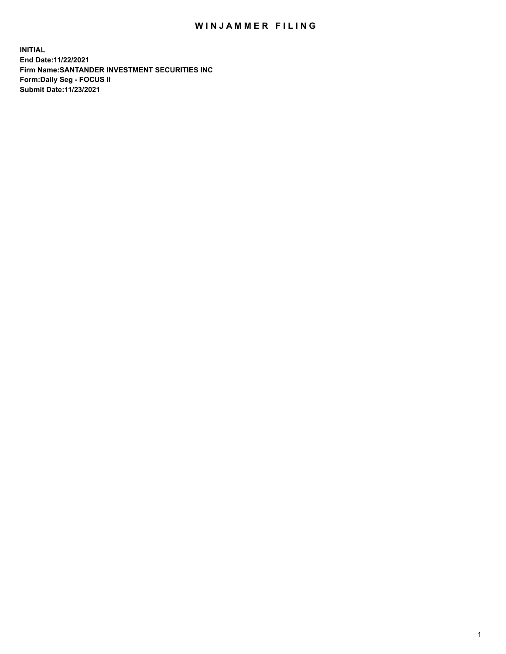## WIN JAMMER FILING

**INITIAL End Date:11/22/2021 Firm Name:SANTANDER INVESTMENT SECURITIES INC Form:Daily Seg - FOCUS II Submit Date:11/23/2021**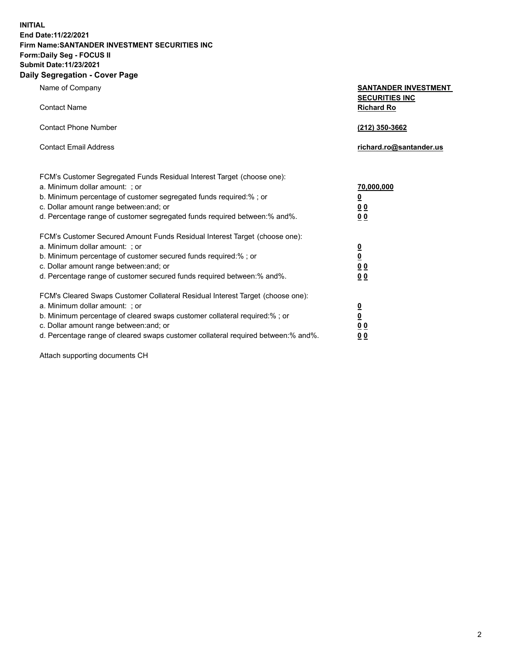**INITIAL End Date:11/22/2021 Firm Name:SANTANDER INVESTMENT SECURITIES INC Form:Daily Seg - FOCUS II Submit Date:11/23/2021 Daily Segregation - Cover Page**

| Name of Company                                                                                                                                                                                                                                                                                                                | <b>SANTANDER INVESTMENT</b>                                               |  |
|--------------------------------------------------------------------------------------------------------------------------------------------------------------------------------------------------------------------------------------------------------------------------------------------------------------------------------|---------------------------------------------------------------------------|--|
| <b>Contact Name</b>                                                                                                                                                                                                                                                                                                            | <b>SECURITIES INC</b><br><b>Richard Ro</b>                                |  |
| <b>Contact Phone Number</b>                                                                                                                                                                                                                                                                                                    | (212) 350-3662                                                            |  |
| <b>Contact Email Address</b>                                                                                                                                                                                                                                                                                                   | richard.ro@santander.us                                                   |  |
| FCM's Customer Segregated Funds Residual Interest Target (choose one):<br>a. Minimum dollar amount: ; or<br>b. Minimum percentage of customer segregated funds required:% ; or<br>c. Dollar amount range between: and; or<br>d. Percentage range of customer segregated funds required between:% and%.                         | 70,000,000<br>$\overline{\mathbf{0}}$<br>0 <sub>0</sub><br>0 <sub>0</sub> |  |
| FCM's Customer Secured Amount Funds Residual Interest Target (choose one):<br>a. Minimum dollar amount: ; or<br>b. Minimum percentage of customer secured funds required:%; or<br>c. Dollar amount range between: and; or<br>d. Percentage range of customer secured funds required between:% and%.                            | $\frac{0}{0}$<br>0 <sub>0</sub><br>0 <sub>0</sub>                         |  |
| FCM's Cleared Swaps Customer Collateral Residual Interest Target (choose one):<br>a. Minimum dollar amount: ; or<br>b. Minimum percentage of cleared swaps customer collateral required:% ; or<br>c. Dollar amount range between: and; or<br>d. Percentage range of cleared swaps customer collateral required between:% and%. | $\frac{0}{0}$<br>0 <sub>0</sub><br>0 <sub>0</sub>                         |  |

Attach supporting documents CH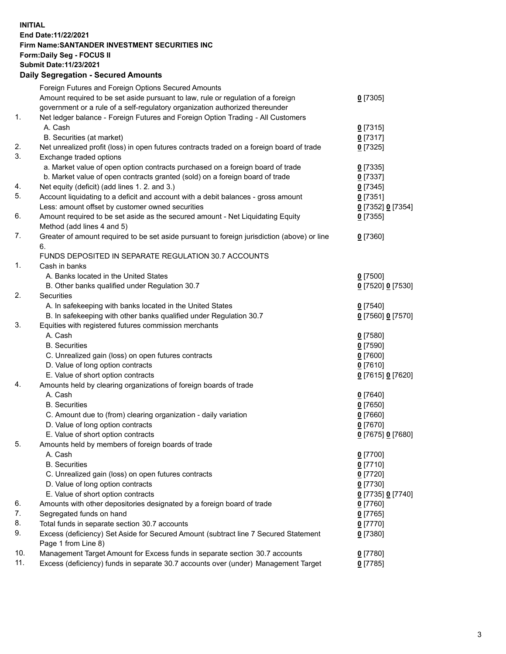## **INITIAL End Date:11/22/2021 Firm Name:SANTANDER INVESTMENT SECURITIES INC Form:Daily Seg - FOCUS II Submit Date:11/23/2021 Daily Segregation - Secured Amounts**

|     | Foreign Futures and Foreign Options Secured Amounts                                         |                   |
|-----|---------------------------------------------------------------------------------------------|-------------------|
|     | Amount required to be set aside pursuant to law, rule or regulation of a foreign            | $0$ [7305]        |
|     | government or a rule of a self-regulatory organization authorized thereunder                |                   |
| 1.  | Net ledger balance - Foreign Futures and Foreign Option Trading - All Customers             |                   |
|     | A. Cash                                                                                     | $0$ [7315]        |
|     | B. Securities (at market)                                                                   | $0$ [7317]        |
| 2.  | Net unrealized profit (loss) in open futures contracts traded on a foreign board of trade   | $0$ [7325]        |
| 3.  | Exchange traded options                                                                     |                   |
|     | a. Market value of open option contracts purchased on a foreign board of trade              | $0$ [7335]        |
|     | b. Market value of open contracts granted (sold) on a foreign board of trade                | $0$ [7337]        |
| 4.  | Net equity (deficit) (add lines 1. 2. and 3.)                                               | $0$ [7345]        |
| 5.  | Account liquidating to a deficit and account with a debit balances - gross amount           | $0$ [7351]        |
|     | Less: amount offset by customer owned securities                                            | 0 [7352] 0 [7354] |
| 6.  | Amount required to be set aside as the secured amount - Net Liquidating Equity              | $0$ [7355]        |
|     | Method (add lines 4 and 5)                                                                  |                   |
| 7.  | Greater of amount required to be set aside pursuant to foreign jurisdiction (above) or line | $0$ [7360]        |
|     | 6.                                                                                          |                   |
|     | FUNDS DEPOSITED IN SEPARATE REGULATION 30.7 ACCOUNTS                                        |                   |
| 1.  | Cash in banks                                                                               |                   |
|     | A. Banks located in the United States                                                       | $0$ [7500]        |
|     | B. Other banks qualified under Regulation 30.7                                              | 0 [7520] 0 [7530] |
| 2.  | Securities                                                                                  |                   |
|     | A. In safekeeping with banks located in the United States                                   | $0$ [7540]        |
|     | B. In safekeeping with other banks qualified under Regulation 30.7                          | 0 [7560] 0 [7570] |
| 3.  | Equities with registered futures commission merchants                                       |                   |
|     | A. Cash                                                                                     | $0$ [7580]        |
|     | <b>B.</b> Securities                                                                        | $0$ [7590]        |
|     | C. Unrealized gain (loss) on open futures contracts                                         | $0$ [7600]        |
|     | D. Value of long option contracts                                                           | $0$ [7610]        |
|     | E. Value of short option contracts                                                          | 0 [7615] 0 [7620] |
| 4.  | Amounts held by clearing organizations of foreign boards of trade                           |                   |
|     | A. Cash                                                                                     | $0$ [7640]        |
|     | <b>B.</b> Securities                                                                        | $0$ [7650]        |
|     | C. Amount due to (from) clearing organization - daily variation                             | $0$ [7660]        |
|     | D. Value of long option contracts                                                           | $0$ [7670]        |
|     | E. Value of short option contracts                                                          | 0 [7675] 0 [7680] |
| 5.  | Amounts held by members of foreign boards of trade                                          |                   |
|     | A. Cash                                                                                     | $0$ [7700]        |
|     | <b>B.</b> Securities                                                                        | $0$ [7710]        |
|     | C. Unrealized gain (loss) on open futures contracts                                         | $0$ [7720]        |
|     | D. Value of long option contracts                                                           | $0$ [7730]        |
|     | E. Value of short option contracts                                                          | 0 [7735] 0 [7740] |
| 6.  | Amounts with other depositories designated by a foreign board of trade                      | 0 [7760]          |
| 7.  | Segregated funds on hand                                                                    | $0$ [7765]        |
| 8.  | Total funds in separate section 30.7 accounts                                               | 0 [7770]          |
| 9.  | Excess (deficiency) Set Aside for Secured Amount (subtract line 7 Secured Statement         | $0$ [7380]        |
|     | Page 1 from Line 8)                                                                         |                   |
| 10. | Management Target Amount for Excess funds in separate section 30.7 accounts                 | $0$ [7780]        |
| 11. | Excess (deficiency) funds in separate 30.7 accounts over (under) Management Target          | $0$ [7785]        |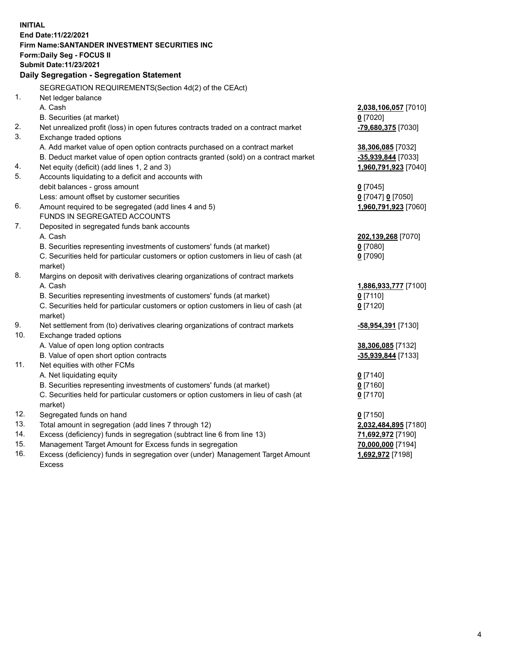| <b>INITIAL</b> |                                                                                     |                      |
|----------------|-------------------------------------------------------------------------------------|----------------------|
|                | End Date: 11/22/2021                                                                |                      |
|                | Firm Name: SANTANDER INVESTMENT SECURITIES INC                                      |                      |
|                | Form: Daily Seg - FOCUS II                                                          |                      |
|                | <b>Submit Date: 11/23/2021</b>                                                      |                      |
|                | Daily Segregation - Segregation Statement                                           |                      |
|                | SEGREGATION REQUIREMENTS(Section 4d(2) of the CEAct)                                |                      |
| 1.             | Net ledger balance                                                                  |                      |
|                | A. Cash                                                                             | 2,038,106,057 [7010] |
|                | B. Securities (at market)                                                           | $0$ [7020]           |
| 2.             | Net unrealized profit (loss) in open futures contracts traded on a contract market  | -79,680,375 [7030]   |
| 3.             | Exchange traded options                                                             |                      |
|                | A. Add market value of open option contracts purchased on a contract market         | 38,306,085 [7032]    |
|                | B. Deduct market value of open option contracts granted (sold) on a contract market | -35,939,844 [7033]   |
| 4.             | Net equity (deficit) (add lines 1, 2 and 3)                                         | 1,960,791,923 [7040] |
| 5.             | Accounts liquidating to a deficit and accounts with                                 |                      |
|                | debit balances - gross amount                                                       | $0$ [7045]           |
|                | Less: amount offset by customer securities                                          | 0 [7047] 0 [7050]    |
| 6.             | Amount required to be segregated (add lines 4 and 5)                                | 1,960,791,923 [7060] |
|                | FUNDS IN SEGREGATED ACCOUNTS                                                        |                      |
| 7.             | Deposited in segregated funds bank accounts                                         |                      |
|                | A. Cash                                                                             | 202,139,268 [7070]   |
|                | B. Securities representing investments of customers' funds (at market)              | $0$ [7080]           |
|                | C. Securities held for particular customers or option customers in lieu of cash (at | $0$ [7090]           |
|                | market)                                                                             |                      |
| 8.             | Margins on deposit with derivatives clearing organizations of contract markets      |                      |
|                | A. Cash                                                                             | 1,886,933,777 [7100] |
|                | B. Securities representing investments of customers' funds (at market)              | $0$ [7110]           |
|                | C. Securities held for particular customers or option customers in lieu of cash (at | $0$ [7120]           |
|                | market)                                                                             |                      |
| 9.             | Net settlement from (to) derivatives clearing organizations of contract markets     | -58,954,391 [7130]   |
| 10.            | Exchange traded options                                                             |                      |
|                | A. Value of open long option contracts                                              | 38,306,085 [7132]    |
|                | B. Value of open short option contracts                                             | -35,939,844 [7133]   |
| 11.            | Net equities with other FCMs                                                        |                      |
|                | A. Net liquidating equity                                                           | $0$ [7140]           |
|                | B. Securities representing investments of customers' funds (at market)              | $0$ [7160]           |
|                | C. Securities held for particular customers or option customers in lieu of cash (at | $0$ [7170]           |
| 12.            | market)<br>Segregated funds on hand                                                 | $0$ [7150]           |
| 13.            | Total amount in segregation (add lines 7 through 12)                                | 2,032,484,895 [7180] |
| 14.            | Excess (deficiency) funds in segregation (subtract line 6 from line 13)             | 71,692,972 [7190]    |
| 15.            | Management Target Amount for Excess funds in segregation                            | 70,000,000 [7194]    |
| 16.            | Excess (deficiency) funds in segregation over (under) Management Target Amount      | 1,692,972 [7198]     |
|                | Excess                                                                              |                      |